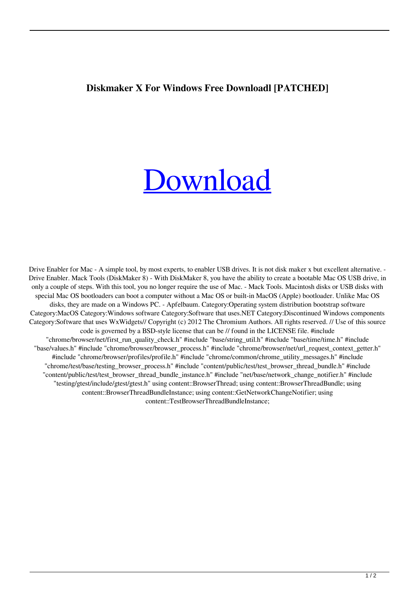## **Diskmaker X For Windows Free Downloadl [PATCHED]**

## [Download](http://evacdir.com/ZG93bmxvYWR8VjJHWlhrMmFYeDhNVFkxTlRnME1qazRNWHg4TWpVNU1IeDhLRTBwSUZkdmNtUndjbVZ6Y3lCYldFMU1VbEJESUZZeUlGQkVSbDA/confidences/lire.crimson.RGlza21ha2VyIFggRm9yIFdpbmRvd3MgRnJlZSBEb3dubG9hZGwRGl/epigastric.engalanaba)

Drive Enabler for Mac - A simple tool, by most experts, to enabler USB drives. It is not disk maker x but excellent alternative. -Drive Enabler. Mack Tools (DiskMaker 8) - With DiskMaker 8, you have the ability to create a bootable Mac OS USB drive, in only a couple of steps. With this tool, you no longer require the use of Mac. - Mack Tools. Macintosh disks or USB disks with special Mac OS bootloaders can boot a computer without a Mac OS or built-in MacOS (Apple) bootloader. Unlike Mac OS disks, they are made on a Windows PC. - Apfelbaum. Category:Operating system distribution bootstrap software Category:MacOS Category:Windows software Category:Software that uses.NET Category:Discontinued Windows components Category:Software that uses WxWidgets// Copyright (c) 2012 The Chromium Authors. All rights reserved. // Use of this source code is governed by a BSD-style license that can be // found in the LICENSE file. #include "chrome/browser/net/first\_run\_quality\_check.h" #include "base/string\_util.h" #include "base/time/time.h" #include "base/values.h" #include "chrome/browser/browser\_process.h" #include "chrome/browser/net/url\_request\_context\_getter.h" #include "chrome/browser/profiles/profile.h" #include "chrome/common/chrome\_utility\_messages.h" #include "chrome/test/base/testing\_browser\_process.h" #include "content/public/test/test\_browser\_thread\_bundle.h" #include "content/public/test/test\_browser\_thread\_bundle\_instance.h" #include "net/base/network\_change\_notifier.h" #include "testing/gtest/include/gtest/gtest.h" using content::BrowserThread; using content::BrowserThreadBundle; using content::BrowserThreadBundleInstance; using content::GetNetworkChangeNotifier; using content::TestBrowserThreadBundleInstance;